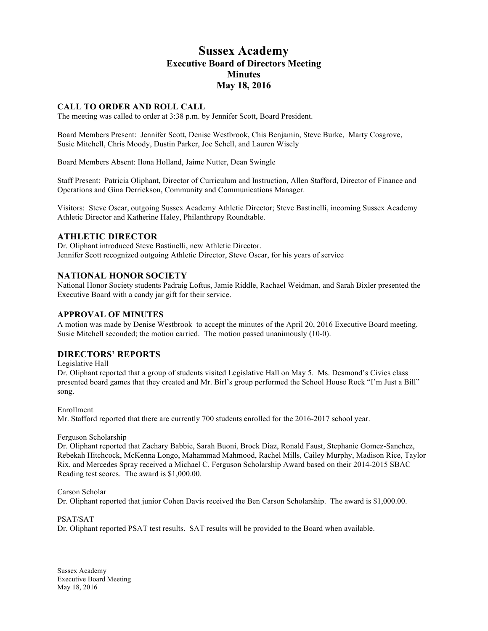# **Sussex Academy Executive Board of Directors Meeting Minutes May 18, 2016**

## **CALL TO ORDER AND ROLL CALL**

The meeting was called to order at 3:38 p.m. by Jennifer Scott, Board President.

Board Members Present: Jennifer Scott, Denise Westbrook, Chis Benjamin, Steve Burke, Marty Cosgrove, Susie Mitchell, Chris Moody, Dustin Parker, Joe Schell, and Lauren Wisely

Board Members Absent: Ilona Holland, Jaime Nutter, Dean Swingle

Staff Present: Patricia Oliphant, Director of Curriculum and Instruction, Allen Stafford, Director of Finance and Operations and Gina Derrickson, Community and Communications Manager.

Visitors: Steve Oscar, outgoing Sussex Academy Athletic Director; Steve Bastinelli, incoming Sussex Academy Athletic Director and Katherine Haley, Philanthropy Roundtable.

## **ATHLETIC DIRECTOR**

Dr. Oliphant introduced Steve Bastinelli, new Athletic Director. Jennifer Scott recognized outgoing Athletic Director, Steve Oscar, for his years of service

## **NATIONAL HONOR SOCIETY**

National Honor Society students Padraig Loftus, Jamie Riddle, Rachael Weidman, and Sarah Bixler presented the Executive Board with a candy jar gift for their service.

## **APPROVAL OF MINUTES**

A motion was made by Denise Westbrook to accept the minutes of the April 20, 2016 Executive Board meeting. Susie Mitchell seconded; the motion carried. The motion passed unanimously (10-0).

## **DIRECTORS' REPORTS**

Legislative Hall

Dr. Oliphant reported that a group of students visited Legislative Hall on May 5. Ms. Desmond's Civics class presented board games that they created and Mr. Birl's group performed the School House Rock "I'm Just a Bill" song.

Enrollment Mr. Stafford reported that there are currently 700 students enrolled for the 2016-2017 school year.

#### Ferguson Scholarship

Dr. Oliphant reported that Zachary Babbie, Sarah Buoni, Brock Diaz, Ronald Faust, Stephanie Gomez-Sanchez, Rebekah Hitchcock, McKenna Longo, Mahammad Mahmood, Rachel Mills, Cailey Murphy, Madison Rice, Taylor Rix, and Mercedes Spray received a Michael C. Ferguson Scholarship Award based on their 2014-2015 SBAC Reading test scores. The award is \$1,000.00.

Carson Scholar

Dr. Oliphant reported that junior Cohen Davis received the Ben Carson Scholarship. The award is \$1,000.00.

PSAT/SAT Dr. Oliphant reported PSAT test results. SAT results will be provided to the Board when available.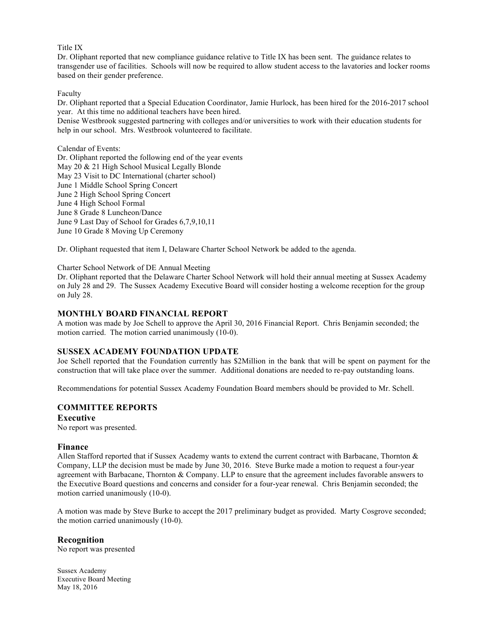#### Title IX

Dr. Oliphant reported that new compliance guidance relative to Title IX has been sent. The guidance relates to transgender use of facilities. Schools will now be required to allow student access to the lavatories and locker rooms based on their gender preference.

#### Faculty

Dr. Oliphant reported that a Special Education Coordinator, Jamie Hurlock, has been hired for the 2016-2017 school year. At this time no additional teachers have been hired.

Denise Westbrook suggested partnering with colleges and/or universities to work with their education students for help in our school. Mrs. Westbrook volunteered to facilitate.

#### Calendar of Events:

Dr. Oliphant reported the following end of the year events May 20 & 21 High School Musical Legally Blonde May 23 Visit to DC International (charter school) June 1 Middle School Spring Concert June 2 High School Spring Concert June 4 High School Formal June 8 Grade 8 Luncheon/Dance June 9 Last Day of School for Grades 6,7,9,10,11 June 10 Grade 8 Moving Up Ceremony

Dr. Oliphant requested that item I, Delaware Charter School Network be added to the agenda.

#### Charter School Network of DE Annual Meeting

Dr. Oliphant reported that the Delaware Charter School Network will hold their annual meeting at Sussex Academy on July 28 and 29. The Sussex Academy Executive Board will consider hosting a welcome reception for the group on July 28.

### **MONTHLY BOARD FINANCIAL REPORT**

A motion was made by Joe Schell to approve the April 30, 2016 Financial Report. Chris Benjamin seconded; the motion carried. The motion carried unanimously (10-0).

### **SUSSEX ACADEMY FOUNDATION UPDATE**

Joe Schell reported that the Foundation currently has \$2Million in the bank that will be spent on payment for the construction that will take place over the summer. Additional donations are needed to re-pay outstanding loans.

Recommendations for potential Sussex Academy Foundation Board members should be provided to Mr. Schell.

## **COMMITTEE REPORTS**

#### **Executive**

No report was presented.

### **Finance**

Allen Stafford reported that if Sussex Academy wants to extend the current contract with Barbacane, Thornton & Company, LLP the decision must be made by June 30, 2016. Steve Burke made a motion to request a four-year agreement with Barbacane, Thornton & Company. LLP to ensure that the agreement includes favorable answers to the Executive Board questions and concerns and consider for a four-year renewal. Chris Benjamin seconded; the motion carried unanimously (10-0).

A motion was made by Steve Burke to accept the 2017 preliminary budget as provided. Marty Cosgrove seconded; the motion carried unanimously (10-0).

### **Recognition**

No report was presented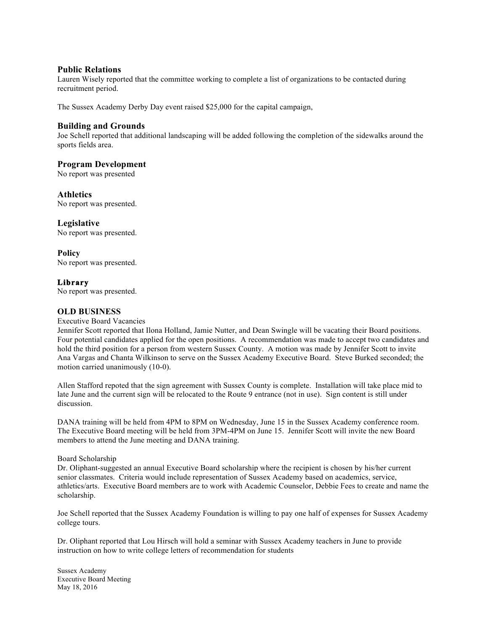## **Public Relations**

Lauren Wisely reported that the committee working to complete a list of organizations to be contacted during recruitment period.

The Sussex Academy Derby Day event raised \$25,000 for the capital campaign,

## **Building and Grounds**

Joe Schell reported that additional landscaping will be added following the completion of the sidewalks around the sports fields area.

## **Program Development**

No report was presented

## **Athletics**

No report was presented.

## **Legislative**

No report was presented.

**Policy** No report was presented.

## **Library**

No report was presented.

## **OLD BUSINESS**

#### Executive Board Vacancies

Jennifer Scott reported that Ilona Holland, Jamie Nutter, and Dean Swingle will be vacating their Board positions. Four potential candidates applied for the open positions. A recommendation was made to accept two candidates and hold the third position for a person from western Sussex County. A motion was made by Jennifer Scott to invite Ana Vargas and Chanta Wilkinson to serve on the Sussex Academy Executive Board. Steve Burked seconded; the motion carried unanimously (10-0).

Allen Stafford repoted that the sign agreement with Sussex County is complete. Installation will take place mid to late June and the current sign will be relocated to the Route 9 entrance (not in use). Sign content is still under discussion.

DANA training will be held from 4PM to 8PM on Wednesday, June 15 in the Sussex Academy conference room. The Executive Board meeting will be held from 3PM-4PM on June 15. Jennifer Scott will invite the new Board members to attend the June meeting and DANA training.

### Board Scholarship

Dr. Oliphant-suggested an annual Executive Board scholarship where the recipient is chosen by his/her current senior classmates. Criteria would include representation of Sussex Academy based on academics, service, athletics/arts. Executive Board members are to work with Academic Counselor, Debbie Fees to create and name the scholarship.

Joe Schell reported that the Sussex Academy Foundation is willing to pay one half of expenses for Sussex Academy college tours.

Dr. Oliphant reported that Lou Hirsch will hold a seminar with Sussex Academy teachers in June to provide instruction on how to write college letters of recommendation for students